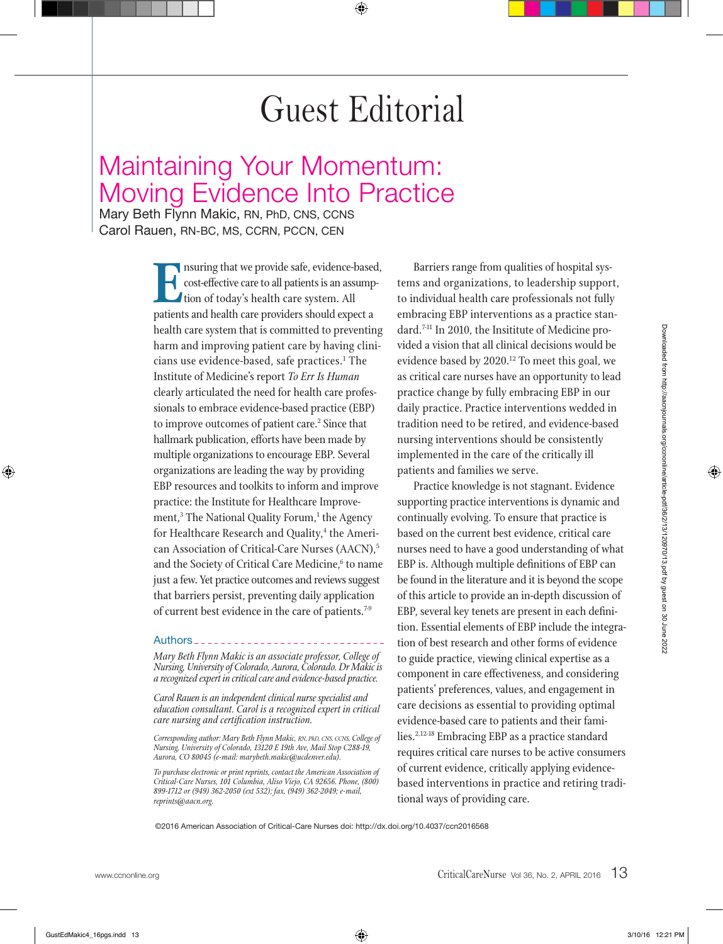# Guest Editorial

# Maintaining Your Momentum: Moving Evidence Into Practice

Mary Beth Flynn Makic, RN, PhD, CNS, CCNS Carol Rauen, RN-BC, MS, CCRN, PCCN, CEN

> **Example 1** nsuring that we provide safe, evidence-based, cost-effective care to all patients is an assumption of today's health care system. All patients and health care providers should expect a cost-effective care to all patients is an assumption of today's health care system. All patients and health care providers should expect a health care system that is committed to preventing harm and improving patient care by having clinicians use evidence-based, safe practices.<sup>1</sup> The Institute of Medicine's report *To Err Is Human* clearly articulated the need for health care professionals to embrace evidence-based practice (EBP) to improve outcomes of patient care.<sup>2</sup> Since that hallmark publication, efforts have been made by multiple organizations to encourage EBP. Several organizations are leading the way by providing EBP resources and toolkits to inform and improve practice: the Institute for Healthcare Improvement,<sup>3</sup> The National Quality Forum,<sup>1</sup> the Agency for Healthcare Research and Quality,<sup>4</sup> the American Association of Critical-Care Nurses (AACN),<sup>5</sup> and the Society of Critical Care Medicine,<sup>6</sup> to name just a few. Yet practice outcomes and reviews suggest that barriers persist, preventing daily application of current best evidence in the care of patients.<sup>7-9</sup>

#### Authors \_ \_ \_ \_ \_ \_ \_ \_ \_ \_

*Mary Beth Flynn Makic is an associate professor, College of Nursing, University of Colorado, Aurora, Colorado. Dr Makic is a recognized expert in critical care and evidence-based practice.*

*Carol Rauen is an independent clinical nurse specialist and education consultant. Carol is a recognized expert in critical care nursing and certification instruction.* 

*Corresponding author: Mary Beth Flynn Makic, RN, PhD, CNS, CCNS, College of Nursing, University of Colorado, 13120 E 19th Ave, Mail Stop C288-19, Aurora, CO 80045 (e-mail: marybeth.makic@ucdenver.edu).*

*To purchase electronic or print reprints, contact the American Association of Critical-Care Nurses, 101 Columbia, Aliso Viejo, CA 92656. Phone, (800) 899-1712 or (949) 362-2050 (ext 532); fax, (949) 362-2049; e-mail, reprints@aacn.org.*

Barriers range from qualities of hospital systems and organizations, to leadership support, to individual health care professionals not fully embracing EBP interventions as a practice standard.7-11 In 2010, the Insititute of Medicine provided a vision that all clinical decisions would be evidence based by 2020.<sup>12</sup> To meet this goal, we as critical care nurses have an opportunity to lead practice change by fully embracing EBP in our daily practice. Practice interventions wedded in tradition need to be retired, and evidence-based nursing interventions should be consistently implemented in the care of the critically ill patients and families we serve.

Practice knowledge is not stagnant. Evidence supporting practice interventions is dynamic and continually evolving. To ensure that practice is based on the current best evidence, critical care nurses need to have a good understanding of what EBP is. Although multiple definitions of EBP can be found in the literature and it is beyond the scope of this article to provide an in-depth discussion of EBP, several key tenets are present in each definition. Essential elements of EBP include the integration of best research and other forms of evidence to guide practice, viewing clinical expertise as a component in care effectiveness, and considering patients' preferences, values, and engagement in care decisions as essential to providing optimal evidence-based care to patients and their families.2,12-18 Embracing EBP as a practice standard requires critical care nurses to be active consumers of current evidence, critically applying evidencebased interventions in practice and retiring traditional ways of providing care. be the system that is conneiled for Production (and The Towards) and the forest<br>in the system between the systems of the system of the system of the system of the system of the system of the system of the system of the sy

©2016 American Association of Critical-Care Nurses doi: http://dx.doi.org/10.4037/ccn2016568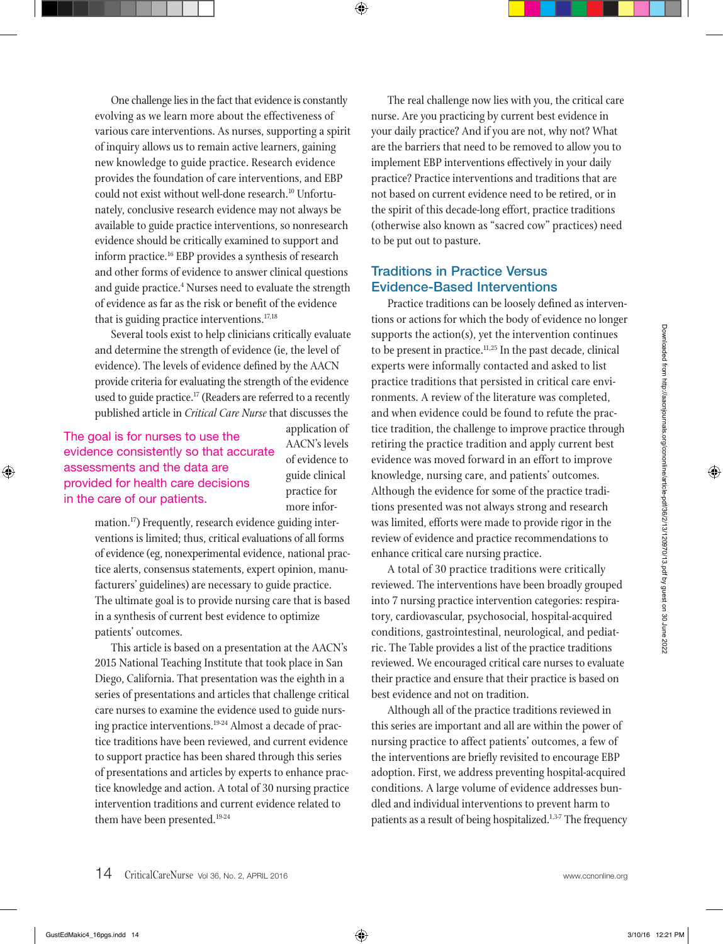One challenge lies in the fact that evidence is constantly evolving as we learn more about the effectiveness of various care interventions. As nurses, supporting a spirit of inquiry allows us to remain active learners, gaining new knowledge to guide practice. Research evidence provides the foundation of care interventions, and EBP could not exist without well-done research.<sup>10</sup> Unfortunately, conclusive research evidence may not always be available to guide practice interventions, so nonresearch evidence should be critically examined to support and inform practice.16 EBP provides a synthesis of research and other forms of evidence to answer clinical questions and guide practice.<sup>4</sup> Nurses need to evaluate the strength of evidence as far as the risk or benefit of the evidence that is guiding practice interventions.<sup>17,18</sup>

Several tools exist to help clinicians critically evaluate and determine the strength of evidence (ie, the level of evidence). The levels of evidence defined by the AACN provide criteria for evaluating the strength of the evidence used to guide practice.<sup>17</sup> (Readers are referred to a recently published article in *Critical Care Nurse* that discusses the

The goal is for nurses to use the evidence consistently so that accurate assessments and the data are provided for health care decisions in the care of our patients.

application of AACN's levels of evidence to guide clinical practice for more infor-

mation.<sup>17</sup>) Frequently, research evidence guiding interventions is limited; thus, critical evaluations of all forms of evidence (eg, nonexperimental evidence, national practice alerts, consensus statements, expert opinion, manufacturers' guidelines) are necessary to guide practice. The ultimate goal is to provide nursing care that is based in a synthesis of current best evidence to optimize patients' outcomes.

This article is based on a presentation at the AACN's 2015 National Teaching Institute that took place in San Diego, California. That presentation was the eighth in a series of presentations and articles that challenge critical care nurses to examine the evidence used to guide nursing practice interventions.19-24 Almost a decade of practice traditions have been reviewed, and current evidence to support practice has been shared through this series of presentations and articles by experts to enhance practice knowledge and action. A total of 30 nursing practice intervention traditions and current evidence related to them have been presented.<sup>19-24</sup>

The real challenge now lies with you, the critical care nurse. Are you practicing by current best evidence in your daily practice? And if you are not, why not? What are the barriers that need to be removed to allow you to implement EBP interventions effectively in your daily practice? Practice interventions and traditions that are not based on current evidence need to be retired, or in the spirit of this decade-long effort, practice traditions (otherwise also known as "sacred cow" practices) need to be put out to pasture.

### Traditions in Practice Versus Evidence-Based Interventions

Practice traditions can be loosely defined as interventions or actions for which the body of evidence no longer supports the action(s), yet the intervention continues to be present in practice.<sup>11,25</sup> In the past decade, clinical experts were informally contacted and asked to list practice traditions that persisted in critical care environments. A review of the literature was completed, and when evidence could be found to refute the practice tradition, the challenge to improve practice through retiring the practice tradition and apply current best evidence was moved forward in an effort to improve knowledge, nursing care, and patients' outcomes. Although the evidence for some of the practice traditions presented was not always strong and research was limited, efforts were made to provide rigor in the review of evidence and practice recommendations to enhance critical care nursing practice. Several lookes and the best declined matrix three states are the states of the states of evidence is the states of evidence is the states of evidence is the states of evidence is the states of evidence is the state of evi

A total of 30 practice traditions were critically reviewed. The interventions have been broadly grouped into 7 nursing practice intervention categories: respiratory, cardiovascular, psychosocial, hospital-acquired conditions, gastrointestinal, neurological, and pediatric. The Table provides a list of the practice traditions reviewed. We encouraged critical care nurses to evaluate their practice and ensure that their practice is based on best evidence and not on tradition.

Although all of the practice traditions reviewed in this series are important and all are within the power of nursing practice to affect patients' outcomes, a few of the interventions are briefly revisited to encourage EBP adoption. First, we address preventing hospital-acquired conditions. A large volume of evidence addresses bundled and individual interventions to prevent harm to patients as a result of being hospitalized.<sup>1,3-7</sup> The frequency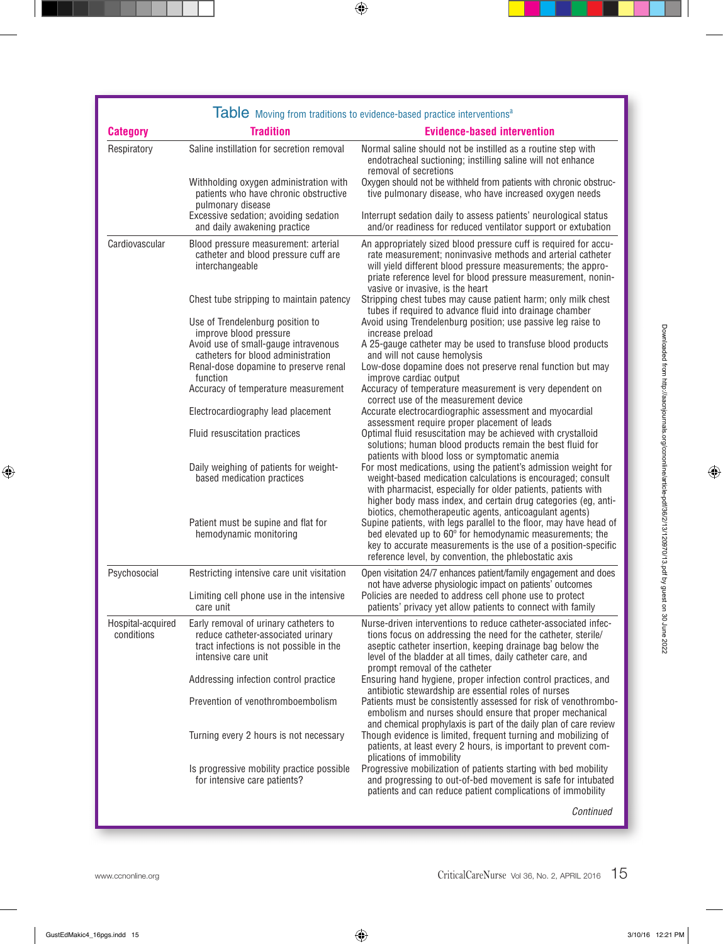| <b>Category</b>                 | <b>Tradition</b>                                                                                                                                                                                                                     | <b>Evidence-based intervention</b>                                                                                                                                                                                                                                                                                                  |
|---------------------------------|--------------------------------------------------------------------------------------------------------------------------------------------------------------------------------------------------------------------------------------|-------------------------------------------------------------------------------------------------------------------------------------------------------------------------------------------------------------------------------------------------------------------------------------------------------------------------------------|
| Respiratory                     | Saline instillation for secretion removal<br>Withholding oxygen administration with<br>patients who have chronic obstructive                                                                                                         | Normal saline should not be instilled as a routine step with<br>endotracheal suctioning; instilling saline will not enhance<br>removal of secretions<br>Oxygen should not be withheld from patients with chronic obstruc-<br>tive pulmonary disease, who have increased oxygen needs                                                |
|                                 | pulmonary disease<br>Excessive sedation; avoiding sedation<br>and daily awakening practice                                                                                                                                           | Interrupt sedation daily to assess patients' neurological status<br>and/or readiness for reduced ventilator support or extubation                                                                                                                                                                                                   |
| Cardiovascular                  | Blood pressure measurement: arterial<br>catheter and blood pressure cuff are<br>interchangeable                                                                                                                                      | An appropriately sized blood pressure cuff is required for accu-<br>rate measurement; noninvasive methods and arterial catheter<br>will yield different blood pressure measurements; the appro-<br>priate reference level for blood pressure measurement, nonin-<br>vasive or invasive, is the heart                                |
|                                 | Chest tube stripping to maintain patency                                                                                                                                                                                             | Stripping chest tubes may cause patient harm; only milk chest<br>tubes if required to advance fluid into drainage chamber                                                                                                                                                                                                           |
|                                 | Use of Trendelenburg position to<br>improve blood pressure<br>Avoid use of small-gauge intravenous<br>catheters for blood administration<br>Renal-dose dopamine to preserve renal<br>function<br>Accuracy of temperature measurement | Avoid using Trendelenburg position; use passive leg raise to<br>increase preload<br>A 25-gauge catheter may be used to transfuse blood products<br>and will not cause hemolysis<br>Low-dose dopamine does not preserve renal function but may<br>improve cardiac output<br>Accuracy of temperature measurement is very dependent on |
|                                 | Electrocardiography lead placement                                                                                                                                                                                                   | correct use of the measurement device<br>Accurate electrocardiographic assessment and myocardial                                                                                                                                                                                                                                    |
|                                 | Fluid resuscitation practices                                                                                                                                                                                                        | assessment require proper placement of leads<br>Optimal fluid resuscitation may be achieved with crystalloid<br>solutions; human blood products remain the best fluid for<br>patients with blood loss or symptomatic anemia                                                                                                         |
|                                 | Daily weighing of patients for weight-<br>based medication practices                                                                                                                                                                 | For most medications, using the patient's admission weight for<br>weight-based medication calculations is encouraged; consult<br>with pharmacist, especially for older patients, patients with<br>higher body mass index, and certain drug categories (eg, anti-<br>biotics, chemotherapeutic agents, anticoagulant agents)         |
|                                 | Patient must be supine and flat for<br>hemodynamic monitoring                                                                                                                                                                        | Supine patients, with legs parallel to the floor, may have head of<br>bed elevated up to 60° for hemodynamic measurements; the<br>key to accurate measurements is the use of a position-specific<br>reference level, by convention, the phlebostatic axis                                                                           |
| Psychosocial                    | Restricting intensive care unit visitation<br>Limiting cell phone use in the intensive<br>care unit                                                                                                                                  | Open visitation 24/7 enhances patient/family engagement and does<br>not have adverse physiologic impact on patients' outcomes<br>Policies are needed to address cell phone use to protect<br>patients' privacy yet allow patients to connect with family                                                                            |
| Hospital-acquired<br>conditions | Early removal of urinary catheters to<br>reduce catheter-associated urinary<br>tract infections is not possible in the<br>intensive care unit                                                                                        | Nurse-driven interventions to reduce catheter-associated infec-<br>tions focus on addressing the need for the catheter, sterile/<br>aseptic catheter insertion, keeping drainage bag below the<br>level of the bladder at all times, daily catheter care, and<br>prompt removal of the catheter                                     |
|                                 | Addressing infection control practice                                                                                                                                                                                                | Ensuring hand hygiene, proper infection control practices, and<br>antibiotic stewardship are essential roles of nurses                                                                                                                                                                                                              |
|                                 | Prevention of venothromboembolism                                                                                                                                                                                                    | Patients must be consistently assessed for risk of venothrombo-<br>embolism and nurses should ensure that proper mechanical<br>and chemical prophylaxis is part of the daily plan of care review                                                                                                                                    |
|                                 | Turning every 2 hours is not necessary                                                                                                                                                                                               | Though evidence is limited, frequent turning and mobilizing of<br>patients, at least every 2 hours, is important to prevent com-<br>plications of immobility                                                                                                                                                                        |
|                                 | Is progressive mobility practice possible<br>for intensive care patients?                                                                                                                                                            | Progressive mobilization of patients starting with bed mobility<br>and progressing to out-of-bed movement is safe for intubated<br>patients and can reduce patient complications of immobility                                                                                                                                      |
|                                 |                                                                                                                                                                                                                                      | Continued                                                                                                                                                                                                                                                                                                                           |
|                                 |                                                                                                                                                                                                                                      |                                                                                                                                                                                                                                                                                                                                     |
| www.ccnonline.org               |                                                                                                                                                                                                                                      | 15<br>CriticalCareNurse Vol 36, No. 2, APRIL 2016                                                                                                                                                                                                                                                                                   |
|                                 |                                                                                                                                                                                                                                      |                                                                                                                                                                                                                                                                                                                                     |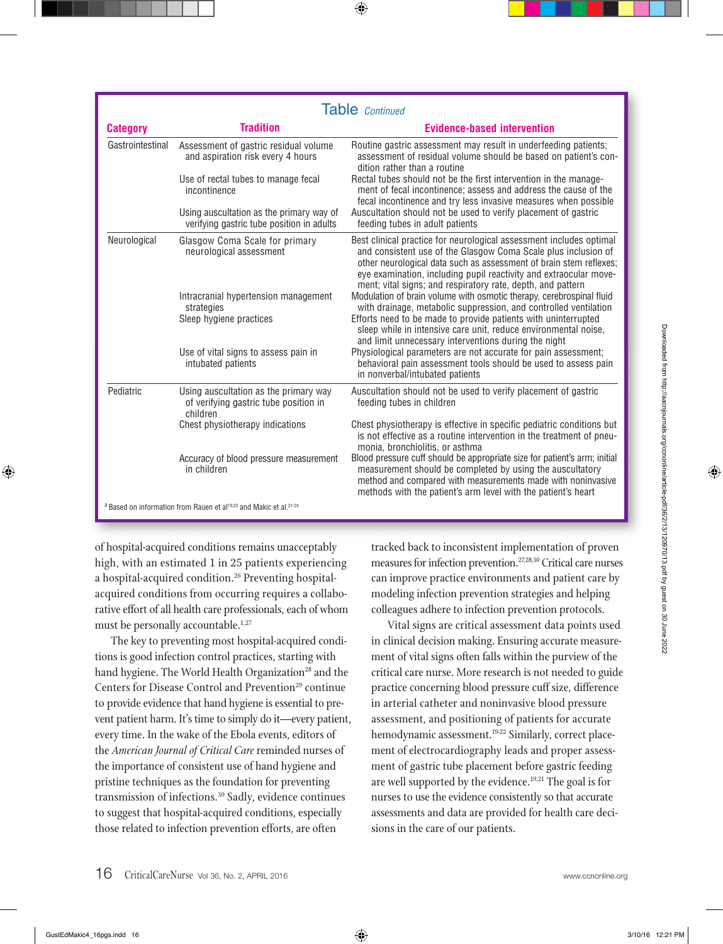| <b>Category</b>  | <b>Tradition</b>                                                                                                                                                                                                                                                                                                                                                                                                                                                                                                                                                                                                                                                                                                                                                                                                                                                                                                                                                                                                                                                                                                                                                                                | <b>Evidence-based intervention</b>                                                                                                                                                                                                                                                                                                                                                                                                                                                                                                                                                                                                                                                                                                                                                                                                                                                                                                                                                                                                                                                                                                                                |
|------------------|-------------------------------------------------------------------------------------------------------------------------------------------------------------------------------------------------------------------------------------------------------------------------------------------------------------------------------------------------------------------------------------------------------------------------------------------------------------------------------------------------------------------------------------------------------------------------------------------------------------------------------------------------------------------------------------------------------------------------------------------------------------------------------------------------------------------------------------------------------------------------------------------------------------------------------------------------------------------------------------------------------------------------------------------------------------------------------------------------------------------------------------------------------------------------------------------------|-------------------------------------------------------------------------------------------------------------------------------------------------------------------------------------------------------------------------------------------------------------------------------------------------------------------------------------------------------------------------------------------------------------------------------------------------------------------------------------------------------------------------------------------------------------------------------------------------------------------------------------------------------------------------------------------------------------------------------------------------------------------------------------------------------------------------------------------------------------------------------------------------------------------------------------------------------------------------------------------------------------------------------------------------------------------------------------------------------------------------------------------------------------------|
| Gastrointestinal | Assessment of gastric residual volume<br>and aspiration risk every 4 hours<br>Use of rectal tubes to manage fecal                                                                                                                                                                                                                                                                                                                                                                                                                                                                                                                                                                                                                                                                                                                                                                                                                                                                                                                                                                                                                                                                               | Routine gastric assessment may result in underfeeding patients;<br>assessment of residual volume should be based on patient's con-<br>dition rather than a routine<br>Rectal tubes should not be the first intervention in the manage-                                                                                                                                                                                                                                                                                                                                                                                                                                                                                                                                                                                                                                                                                                                                                                                                                                                                                                                            |
|                  | incontinence<br>Using auscultation as the primary way of                                                                                                                                                                                                                                                                                                                                                                                                                                                                                                                                                                                                                                                                                                                                                                                                                                                                                                                                                                                                                                                                                                                                        | ment of fecal incontinence; assess and address the cause of the<br>fecal incontinence and try less invasive measures when possible<br>Auscultation should not be used to verify placement of gastric                                                                                                                                                                                                                                                                                                                                                                                                                                                                                                                                                                                                                                                                                                                                                                                                                                                                                                                                                              |
|                  | verifying gastric tube position in adults                                                                                                                                                                                                                                                                                                                                                                                                                                                                                                                                                                                                                                                                                                                                                                                                                                                                                                                                                                                                                                                                                                                                                       | feeding tubes in adult patients                                                                                                                                                                                                                                                                                                                                                                                                                                                                                                                                                                                                                                                                                                                                                                                                                                                                                                                                                                                                                                                                                                                                   |
| Neurological     | Glasgow Coma Scale for primary<br>neurological assessment                                                                                                                                                                                                                                                                                                                                                                                                                                                                                                                                                                                                                                                                                                                                                                                                                                                                                                                                                                                                                                                                                                                                       | Best clinical practice for neurological assessment includes optimal<br>and consistent use of the Glasgow Coma Scale plus inclusion of<br>other neurological data such as assessment of brain stem reflexes;<br>eye examination, including pupil reactivity and extraocular move-<br>ment; vital signs; and respiratory rate, depth, and pattern                                                                                                                                                                                                                                                                                                                                                                                                                                                                                                                                                                                                                                                                                                                                                                                                                   |
|                  | Intracranial hypertension management<br>strategies<br>Sleep hygiene practices                                                                                                                                                                                                                                                                                                                                                                                                                                                                                                                                                                                                                                                                                                                                                                                                                                                                                                                                                                                                                                                                                                                   | Modulation of brain volume with osmotic therapy, cerebrospinal fluid<br>with drainage, metabolic suppression, and controlled ventilation<br>Efforts need to be made to provide patients with uninterrupted<br>sleep while in intensive care unit, reduce environmental noise,                                                                                                                                                                                                                                                                                                                                                                                                                                                                                                                                                                                                                                                                                                                                                                                                                                                                                     |
|                  | Use of vital signs to assess pain in<br>intubated patients                                                                                                                                                                                                                                                                                                                                                                                                                                                                                                                                                                                                                                                                                                                                                                                                                                                                                                                                                                                                                                                                                                                                      | and limit unnecessary interventions during the night<br>Physiological parameters are not accurate for pain assessment;<br>behavioral pain assessment tools should be used to assess pain<br>in nonverbal/intubated patients                                                                                                                                                                                                                                                                                                                                                                                                                                                                                                                                                                                                                                                                                                                                                                                                                                                                                                                                       |
| Pediatric        | Using auscultation as the primary way<br>of verifying gastric tube position in<br>children                                                                                                                                                                                                                                                                                                                                                                                                                                                                                                                                                                                                                                                                                                                                                                                                                                                                                                                                                                                                                                                                                                      | Auscultation should not be used to verify placement of gastric<br>feeding tubes in children                                                                                                                                                                                                                                                                                                                                                                                                                                                                                                                                                                                                                                                                                                                                                                                                                                                                                                                                                                                                                                                                       |
|                  | Chest physiotherapy indications                                                                                                                                                                                                                                                                                                                                                                                                                                                                                                                                                                                                                                                                                                                                                                                                                                                                                                                                                                                                                                                                                                                                                                 | Chest physiotherapy is effective in specific pediatric conditions but<br>is not effective as a routine intervention in the treatment of pneu-<br>monia, bronchiolitis, or asthma                                                                                                                                                                                                                                                                                                                                                                                                                                                                                                                                                                                                                                                                                                                                                                                                                                                                                                                                                                                  |
|                  | Accuracy of blood pressure measurement                                                                                                                                                                                                                                                                                                                                                                                                                                                                                                                                                                                                                                                                                                                                                                                                                                                                                                                                                                                                                                                                                                                                                          | Blood pressure cuff should be appropriate size for patient's arm; initial                                                                                                                                                                                                                                                                                                                                                                                                                                                                                                                                                                                                                                                                                                                                                                                                                                                                                                                                                                                                                                                                                         |
|                  | in children                                                                                                                                                                                                                                                                                                                                                                                                                                                                                                                                                                                                                                                                                                                                                                                                                                                                                                                                                                                                                                                                                                                                                                                     | measurement should be completed by using the auscultatory<br>method and compared with measurements made with noninvasive                                                                                                                                                                                                                                                                                                                                                                                                                                                                                                                                                                                                                                                                                                                                                                                                                                                                                                                                                                                                                                          |
|                  | a Based on information from Rauen et al <sup>19,20</sup> and Makic et al. <sup>21-24</sup>                                                                                                                                                                                                                                                                                                                                                                                                                                                                                                                                                                                                                                                                                                                                                                                                                                                                                                                                                                                                                                                                                                      | methods with the patient's arm level with the patient's heart                                                                                                                                                                                                                                                                                                                                                                                                                                                                                                                                                                                                                                                                                                                                                                                                                                                                                                                                                                                                                                                                                                     |
|                  | of hospital-acquired conditions remains unacceptably<br>high, with an estimated 1 in 25 patients experiencing<br>a hospital-acquired condition. <sup>26</sup> Preventing hospital-<br>acquired conditions from occurring requires a collabo-<br>rative effort of all health care professionals, each of whom<br>must be personally accountable. <sup>1,27</sup><br>The key to preventing most hospital-acquired condi-<br>tions is good infection control practices, starting with<br>hand hygiene. The World Health Organization <sup>28</sup> and the<br>Centers for Disease Control and Prevention <sup>29</sup> continue<br>to provide evidence that hand hygiene is essential to pre-<br>vent patient harm. It's time to simply do it-every patient,<br>every time. In the wake of the Ebola events, editors of<br>the American Journal of Critical Care reminded nurses of<br>the importance of consistent use of hand hygiene and<br>pristine techniques as the foundation for preventing<br>transmission of infections. <sup>30</sup> Sadly, evidence continues<br>to suggest that hospital-acquired conditions, especially<br>those related to infection prevention efforts, are often | tracked back to inconsistent implementation of proven<br>measures for infection prevention. <sup>27,28,30</sup> Critical care nurses<br>can improve practice environments and patient care by<br>modeling infection prevention strategies and helping<br>colleagues adhere to infection prevention protocols.<br>Vital signs are critical assessment data points used<br>in clinical decision making. Ensuring accurate measure-<br>ment of vital signs often falls within the purview of the<br>critical care nurse. More research is not needed to guide<br>practice concerning blood pressure cuff size, difference<br>in arterial catheter and noninvasive blood pressure<br>assessment, and positioning of patients for accurate<br>hemodynamic assessment. <sup>19-22</sup> Similarly, correct place-<br>ment of electrocardiography leads and proper assess-<br>ment of gastric tube placement before gastric feeding<br>are well supported by the evidence. <sup>19,21</sup> The goal is for<br>nurses to use the evidence consistently so that accurate<br>assessments and data are provided for health care deci-<br>sions in the care of our patients. |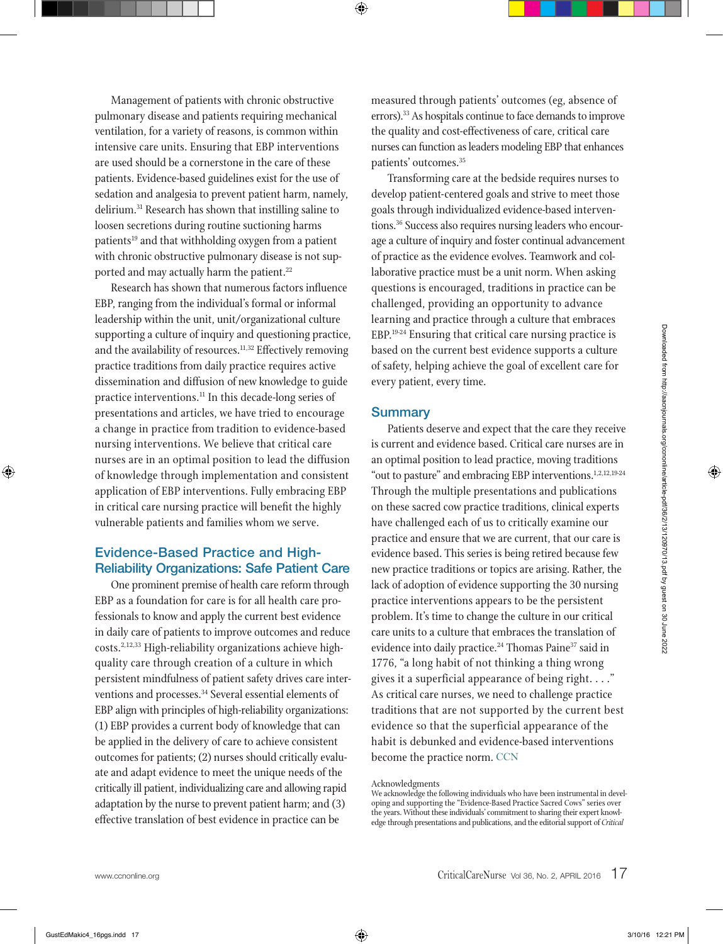Management of patients with chronic obstructive pulmonary disease and patients requiring mechanical ventilation, for a variety of reasons, is common within intensive care units. Ensuring that EBP interventions are used should be a cornerstone in the care of these patients. Evidence-based guidelines exist for the use of sedation and analgesia to prevent patient harm, namely, delirium.<sup>31</sup> Research has shown that instilling saline to loosen secretions during routine suctioning harms patients<sup>19</sup> and that withholding oxygen from a patient with chronic obstructive pulmonary disease is not supported and may actually harm the patient.<sup>22</sup>

Research has shown that numerous factors influence EBP, ranging from the individual's formal or informal leadership within the unit, unit/organizational culture supporting a culture of inquiry and questioning practice, and the availability of resources.<sup>11,32</sup> Effectively removing practice traditions from daily practice requires active dissemination and diffusion of new knowledge to guide practice interventions.<sup>11</sup> In this decade-long series of presentations and articles, we have tried to encourage a change in practice from tradition to evidence-based nursing interventions. We believe that critical care nurses are in an optimal position to lead the diffusion of knowledge through implementation and consistent application of EBP interventions. Fully embracing EBP in critical care nursing practice will benefit the highly vulnerable patients and families whom we serve.

#### Evidence-Based Practice and High-Reliability Organizations: Safe Patient Care

One prominent premise of health care reform through EBP as a foundation for care is for all health care professionals to know and apply the current best evidence in daily care of patients to improve outcomes and reduce costs.2,12,33 High-reliability organizations achieve highquality care through creation of a culture in which persistent mindfulness of patient safety drives care interventions and processes.<sup>34</sup> Several essential elements of EBP align with principles of high-reliability organizations: (1) EBP provides a current body of knowledge that can be applied in the delivery of care to achieve consistent outcomes for patients; (2) nurses should critically evaluate and adapt evidence to meet the unique needs of the critically ill patient, individualizing care and allowing rapid adaptation by the nurse to prevent patient harm; and (3) effective translation of best evidence in practice can be

measured through patients' outcomes (eg, absence of errors).33 As hospitals continue to face demands to improve the quality and cost-effectiveness of care, critical care nurses can function as leaders modeling EBP that enhances patients' outcomes.35

Transforming care at the bedside requires nurses to develop patient-centered goals and strive to meet those goals through individualized evidence-based interventions.36 Success also requires nursing leaders who encourage a culture of inquiry and foster continual advancement of practice as the evidence evolves. Teamwork and collaborative practice must be a unit norm. When asking questions is encouraged, traditions in practice can be challenged, providing an opportunity to advance learning and practice through a culture that embraces EBP.19-24 Ensuring that critical care nursing practice is based on the current best evidence supports a culture of safety, helping achieve the goal of excellent care for every patient, every time.

#### **Summary**

Patients deserve and expect that the care they receive is current and evidence based. Critical care nurses are in an optimal position to lead practice, moving traditions "out to pasture" and embracing EBP interventions.<sup>1,2,12,19-24</sup> Through the multiple presentations and publications on these sacred cow practice traditions, clinical experts have challenged each of us to critically examine our practice and ensure that we are current, that our care is evidence based. This series is being retired because few new practice traditions or topics are arising. Rather, the lack of adoption of evidence supporting the 30 nursing practice interventions appears to be the persistent problem. It's time to change the culture in our critical care units to a culture that embraces the translation of evidence into daily practice.<sup>24</sup> Thomas Paine<sup>37</sup> said in 1776, "a long habit of not thinking a thing wrong gives it a superficial appearance of being right. . . ." As critical care nurses, we need to challenge practice traditions that are not supported by the current best evidence so that the superficial appearance of the habit is debunked and evidence-based interventions become the practice norm. CCN supporting a column of modify and presentions grandes in the modify and column perturbe includes from https://aacaming and the model of the properties in the state of the distributions for the model of the state of the st

Acknowledgments

We acknowledge the following individuals who have been instrumental in developing and supporting the "Evidence-Based Practice Sacred Cows" series over the years. Without these individuals' commitment to sharing their expert knowledge through presentations and publications, and the editorial support of *Critical*